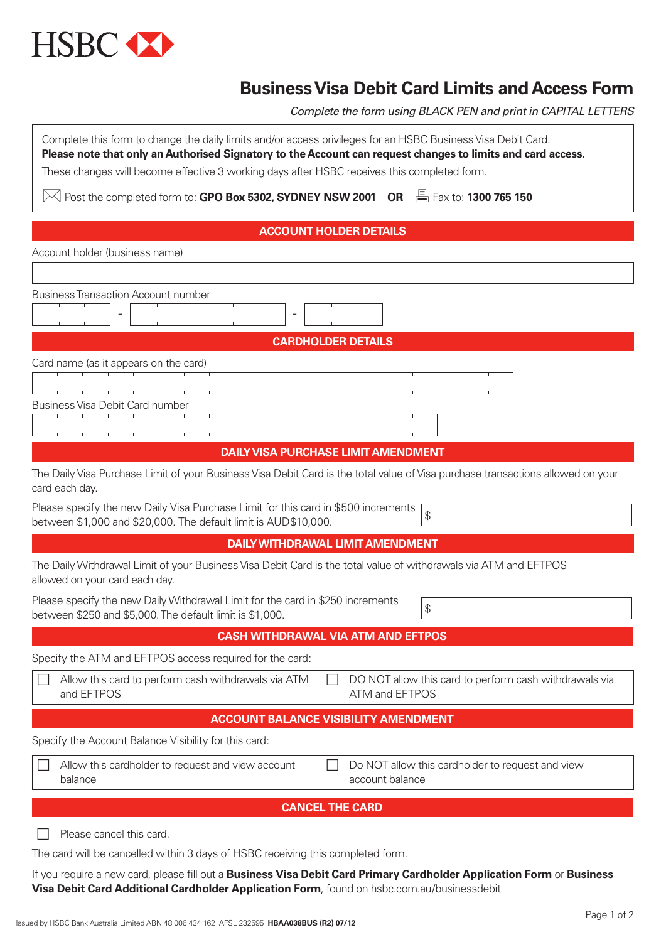

## **Business Visa Debit Card Limits and Access Form**

*Complete the form using BLACK PEN and print in CAPITAL LETTERS*

| Complete this form to change the daily limits and/or access privileges for an HSBC Business Visa Debit Card.<br>Please note that only an Authorised Signatory to the Account can request changes to limits and card access.<br>These changes will become effective 3 working days after HSBC receives this completed form. |  |  |  |  |  |  |  |  |  |
|----------------------------------------------------------------------------------------------------------------------------------------------------------------------------------------------------------------------------------------------------------------------------------------------------------------------------|--|--|--|--|--|--|--|--|--|
| $\boxtimes$ Post the completed form to: GPO Box 5302, SYDNEY NSW 2001 OR $\Box$ Fax to: 1300 765 150                                                                                                                                                                                                                       |  |  |  |  |  |  |  |  |  |
| <b>ACCOUNT HOLDER DETAILS</b>                                                                                                                                                                                                                                                                                              |  |  |  |  |  |  |  |  |  |
| Account holder (business name)                                                                                                                                                                                                                                                                                             |  |  |  |  |  |  |  |  |  |

| <b>Business Transaction Account number</b>                                                                                                                  |  |  |  |  |  |  |  |  |
|-------------------------------------------------------------------------------------------------------------------------------------------------------------|--|--|--|--|--|--|--|--|
|                                                                                                                                                             |  |  |  |  |  |  |  |  |
| <b>CARDHOLDER DETAILS</b>                                                                                                                                   |  |  |  |  |  |  |  |  |
| Card name (as it appears on the card)                                                                                                                       |  |  |  |  |  |  |  |  |
|                                                                                                                                                             |  |  |  |  |  |  |  |  |
| Business Visa Debit Card number                                                                                                                             |  |  |  |  |  |  |  |  |
|                                                                                                                                                             |  |  |  |  |  |  |  |  |
| <b>DAILY VISA PURCHASE LIMIT AMENDMENT</b>                                                                                                                  |  |  |  |  |  |  |  |  |
| The Daily Visa Purchase Limit of your Business Visa Debit Card is the total value of Visa purchase transactions allowed on your<br>card each day.           |  |  |  |  |  |  |  |  |
| Please specify the new Daily Visa Purchase Limit for this card in \$500 increments<br>\$<br>between \$1,000 and \$20,000. The default limit is AUD\$10,000. |  |  |  |  |  |  |  |  |
| <b>DAILY WITHDRAWAL LIMIT AMENDMENT</b>                                                                                                                     |  |  |  |  |  |  |  |  |
| The Daily Withdrawal Limit of your Business Visa Debit Card is the total value of withdrawals via ATM and EFTPOS<br>allowed on your card each day.          |  |  |  |  |  |  |  |  |
| Please specify the new Daily Withdrawal Limit for the card in \$250 increments<br>\$<br>between \$250 and \$5,000. The default limit is \$1,000.            |  |  |  |  |  |  |  |  |
| <b>CASH WITHDRAWAL VIA ATM AND EFTPOS</b>                                                                                                                   |  |  |  |  |  |  |  |  |
| Specify the ATM and EFTPOS access required for the card:                                                                                                    |  |  |  |  |  |  |  |  |
| Allow this card to perform cash withdrawals via ATM<br>DO NOT allow this card to perform cash withdrawals via<br>and EFTPOS<br>ATM and EFTPOS               |  |  |  |  |  |  |  |  |
| <b>ACCOUNT BALANCE VISIBILITY AMENDMENT</b>                                                                                                                 |  |  |  |  |  |  |  |  |
| Specify the Account Balance Visibility for this card:                                                                                                       |  |  |  |  |  |  |  |  |
| Allow this cardholder to request and view account<br>Do NOT allow this cardholder to request and view<br>account balance<br>balance                         |  |  |  |  |  |  |  |  |
| <b>CANCEL THE CARD</b>                                                                                                                                      |  |  |  |  |  |  |  |  |
| Please cancel this card.                                                                                                                                    |  |  |  |  |  |  |  |  |
| The card will be cancelled within 3 days of HSBC receiving this completed form.                                                                             |  |  |  |  |  |  |  |  |

If you require a new card, please fill out a **Business Visa Debit Card Primary Cardholder Application Form** or **Business Visa Debit Card Additional Cardholder Application Form**, found on hsbc.com.au/businessdebit